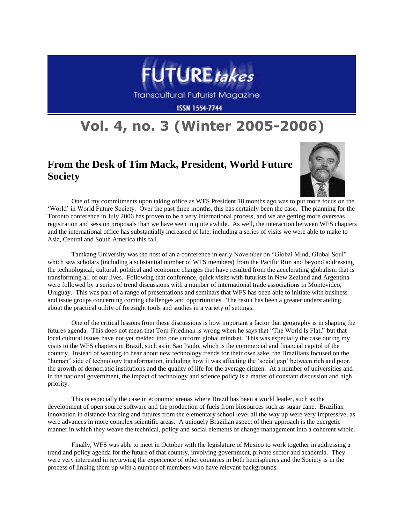

**Transcultural Futurist Magazine** 

**ISSN 1554-7744** 

## **Vol. 4, no. 3 (Winter 2005-2006)**

## **From the Desk of Tim Mack, President, World Future Society**



One of my commitments upon taking office as WFS President 18 months ago was to put more focus on the "World" in World Future Society. Over the past three months, this has certainly been the case. The planning for the Toronto conference in July 2006 has proven to be a very international process, and we are getting more overseas registration and session proposals than we have seen in quite awhile. As well, the interaction between WFS chapters and the international office has substantially increased of late, including a series of visits we were able to make to Asia, Central and South America this fall.

Tamkang University was the host of an a conference in early November on "Global Mind, Global Soul" which saw scholars (including a substantial number of WFS members) from the Pacific Rim and beyond addressing the technological, cultural, political and economic changes that have resulted from the accelerating globalism that is transforming all of our lives. Following that conference, quick visits with futurists in New Zealand and Argentina were followed by a series of trend discussions with a number of international trade associations in Montevideo, Uruguay. This was part of a range of presentations and seminars that WFS has been able to initiate with business and issue groups concerning coming challenges and opportunities. The result has been a greater understanding about the practical utility of foresight tools and studies in a variety of settings.

One of the critical lessons from these discussions is how important a factor that geography is in shaping the futures agenda. This does not mean that Tom Friedman is wrong when he says that "The World Is Flat," but that local cultural issues have not yet melded into one uniform global mindset. This was especially the case during my visits to the WFS chapters in Brazil, such as in Sao Paulo, which is the commercial and financial capitol of the country. Instead of wanting to hear about new technology trends for their own sake, the Brazilians focused on the "human" side of technology transformation, including how it was affecting the "social gap" between rich and poor, the growth of democratic institutions and the quality of life for the average citizen. At a number of universities and in the national government, the impact of technology and science policy is a matter of constant discussion and high priority.

This is especially the case in economic arenas where Brazil has been a world leader, such as the development of open source software and the production of fuels from biosources such as sugar cane. Brazilian innovation in distance learning and futures from the elementary school level all the way up were very impressive, as were advances in more complex scientific areas. A uniquely Brazilian aspect of their approach is the energetic manner in which they weave the technical, policy and social elements of change management into a coherent whole.

Finally, WFS was able to meet in October with the legislature of Mexico to work together in addressing a trend and policy agenda for the future of that country, involving government, private sector and academia. They were very interested in reviewing the experience of other countries in both hemispheres and the Society is in the process of linking them up with a number of members who have relevant backgrounds.